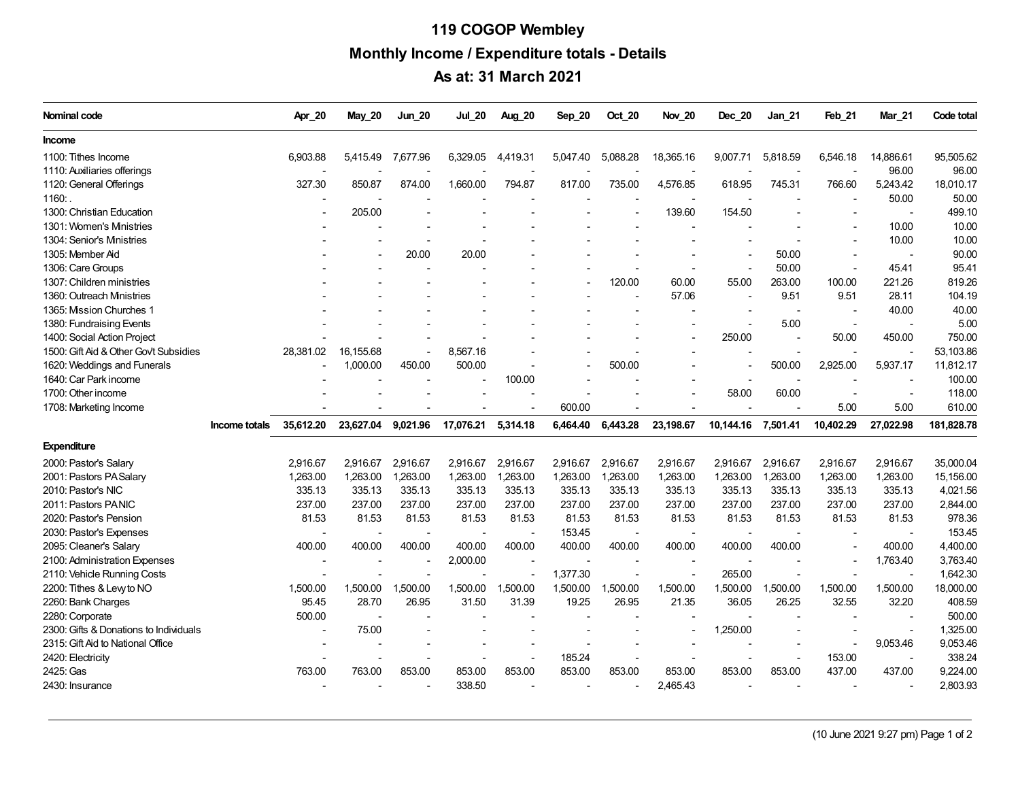## **119 COGOP Wembley Monthly Income / Expenditure totals - Details As at: 31 March 2021**

| Nominal code                           |               | Apr_20                   | <b>May_20</b> | Jun_20   | <b>Jul_20</b>            | Aug_20                   | Sep_20         | Oct_20                   | Nov_20                   | Dec_20                   | Jan_21                   | Feb_21                   | <b>Mar_21</b>  | Code total |
|----------------------------------------|---------------|--------------------------|---------------|----------|--------------------------|--------------------------|----------------|--------------------------|--------------------------|--------------------------|--------------------------|--------------------------|----------------|------------|
| Income                                 |               |                          |               |          |                          |                          |                |                          |                          |                          |                          |                          |                |            |
| 1100: Tithes Income                    |               | 6,903.88                 | 5,415.49      | 7,677.96 | 6,329.05                 | 4,419.31                 | 5,047.40       | 5,088.28                 | 18,365.16                | 9,007.71                 | 5,818.59                 | 6,546.18                 | 14,886.61      | 95,505.62  |
| 1110: Auxiliaries offerings            |               | $\overline{\phantom{a}}$ |               |          |                          |                          |                |                          | $\overline{\phantom{a}}$ |                          |                          |                          | 96.00          | 96.00      |
| 1120: General Offerings                |               | 327.30                   | 850.87        | 874.00   | 1,660.00                 | 794.87                   | 817.00         | 735.00                   | 4,576.85                 | 618.95                   | 745.31                   | 766.60                   | 5,243.42       | 18,010.17  |
| 1160:                                  |               |                          |               |          |                          |                          |                |                          |                          |                          |                          |                          | 50.00          | 50.00      |
| 1300: Christian Education              |               |                          | 205.00        |          |                          |                          |                |                          | 139.60                   | 154.50                   |                          |                          | $\overline{a}$ | 499.10     |
| 1301: Women's Ministries               |               |                          |               |          |                          |                          |                |                          |                          |                          |                          |                          | 10.00          | 10.00      |
| 1304: Senior's Ministries              |               |                          |               |          |                          |                          |                |                          |                          | $\overline{\phantom{a}}$ |                          | $\overline{\phantom{a}}$ | 10.00          | 10.00      |
| 1305: Member Aid                       |               |                          |               | 20.00    | 20.00                    |                          |                |                          |                          |                          | 50.00                    |                          |                | 90.00      |
| 1306: Care Groups                      |               |                          |               |          |                          |                          |                |                          |                          | $\overline{a}$           | 50.00                    | $\overline{a}$           | 45.41          | 95.41      |
| 1307: Children ministries              |               |                          |               |          |                          |                          |                | 120.00                   | 60.00                    | 55.00                    | 263.00                   | 100.00                   | 221.26         | 819.26     |
| 1360: Outreach Mnistries               |               |                          |               |          |                          |                          |                | $\overline{\phantom{a}}$ | 57.06                    | $\sim$                   | 9.51                     | 9.51                     | 28.11          | 104.19     |
| 1365: Mission Churches 1               |               |                          |               |          |                          |                          |                |                          |                          |                          |                          |                          | 40.00          | 40.00      |
| 1380: Fundraising Events               |               |                          |               |          |                          |                          |                |                          |                          |                          | 5.00                     | $\overline{a}$           | $\overline{a}$ | 5.00       |
| 1400: Social Action Project            |               |                          |               |          |                          |                          |                |                          |                          | 250.00                   | $\overline{\phantom{a}}$ | 50.00                    | 450.00         | 750.00     |
| 1500: Gift Aid & Other Gov't Subsidies |               | 28,381.02                | 16,155.68     |          | 8,567.16                 |                          |                |                          |                          | $\overline{a}$           |                          |                          |                | 53,103.86  |
| 1620: Weddings and Funerals            |               |                          | 1,000.00      | 450.00   | 500.00                   |                          | $\overline{a}$ | 500.00                   |                          | $\overline{a}$           | 500.00                   | 2,925.00                 | 5,937.17       | 11,812.17  |
| 1640: Car Park income                  |               |                          |               |          |                          | 100.00                   |                |                          |                          | $\overline{a}$           |                          |                          |                | 100.00     |
| 1700: Other income                     |               |                          |               |          |                          |                          |                |                          |                          | 58.00                    | 60.00                    |                          |                | 118.00     |
| 1708: Marketing Income                 |               |                          |               |          | $\blacksquare$           | $\overline{\phantom{a}}$ | 600.00         | $\overline{\phantom{m}}$ | $\overline{\phantom{a}}$ | $\overline{\phantom{a}}$ |                          | 5.00                     | 5.00           | 610.00     |
|                                        | Income totals | 35,612.20                | 23,627.04     | 9,021.96 | 17,076.21                | 5,314.18                 | 6,464.40       | 6,443.28                 | 23,198.67                | 10,144.16                | 7,501.41                 | 10,402.29                | 27,022.98      | 181,828.78 |
| Expenditure                            |               |                          |               |          |                          |                          |                |                          |                          |                          |                          |                          |                |            |
| 2000: Pastor's Salary                  |               | 2,916.67                 | 2,916.67      | 2,916.67 | 2,916.67                 | 2,916.67                 | 2,916.67       | 2,916.67                 | 2,916.67                 | 2,916.67                 | 2,916.67                 | 2,916.67                 | 2,916.67       | 35,000.04  |
| 2001: Pastors PA Salary                |               | 1,263.00                 | 1,263.00      | 1,263.00 | 1,263.00                 | 1,263.00                 | 1,263.00       | 1,263.00                 | 1,263.00                 | 1,263.00                 | 1,263.00                 | 1,263.00                 | 1,263.00       | 15,156.00  |
| 2010: Pastor's NIC                     |               | 335.13                   | 335.13        | 335.13   | 335.13                   | 335.13                   | 335.13         | 335.13                   | 335.13                   | 335.13                   | 335.13                   | 335.13                   | 335.13         | 4,021.56   |
| 2011: Pastors PANIC                    |               | 237.00                   | 237.00        | 237.00   | 237.00                   | 237.00                   | 237.00         | 237.00                   | 237.00                   | 237.00                   | 237.00                   | 237.00                   | 237.00         | 2,844.00   |
| 2020: Pastor's Pension                 |               | 81.53                    | 81.53         | 81.53    | 81.53                    | 81.53                    | 81.53          | 81.53                    | 81.53                    | 81.53                    | 81.53                    | 81.53                    | 81.53          | 978.36     |
| 2030: Pastor's Expenses                |               |                          |               |          |                          | $\blacksquare$           | 153.45         | $\overline{\phantom{a}}$ |                          | $\overline{\phantom{a}}$ |                          |                          |                | 153.45     |
| 2095: Cleaner's Salary                 |               | 400.00                   | 400.00        | 400.00   | 400.00                   | 400.00                   | 400.00         | 400.00                   | 400.00                   | 400.00                   | 400.00                   |                          | 400.00         | 4,400.00   |
| 2100: Administration Expenses          |               |                          |               |          | 2,000.00                 |                          |                |                          |                          |                          |                          |                          | 1,763.40       | 3,763.40   |
| 2110: Vehicle Running Costs            |               |                          |               |          |                          |                          | 1,377.30       |                          |                          | 265.00                   |                          |                          | Ĭ.             | 1,642.30   |
| 2200: Tithes & Levy to NO              |               | 1,500.00                 | 1,500.00      | 1,500.00 | 1,500.00                 | 1,500.00                 | 1,500.00       | 1,500.00                 | 1,500.00                 | 1,500.00                 | 1,500.00                 | 1,500.00                 | 1,500.00       | 18,000.00  |
| 2260: Bank Charges                     |               | 95.45                    | 28.70         | 26.95    | 31.50                    | 31.39                    | 19.25          | 26.95                    | 21.35                    | 36.05                    | 26.25                    | 32.55                    | 32.20          | 408.59     |
| 2280: Corporate                        |               | 500.00                   | ÷,            |          |                          |                          |                |                          |                          |                          |                          |                          | $\overline{a}$ | 500.00     |
| 2300: Gifts & Donations to Individuals |               |                          | 75.00         |          |                          |                          |                |                          |                          | 1,250.00                 |                          |                          | $\blacksquare$ | 1,325.00   |
| 2315: Gift Aid to National Office      |               | $\overline{\phantom{a}}$ |               |          |                          | $\overline{a}$           |                |                          |                          | $\overline{\phantom{0}}$ | $\overline{\phantom{a}}$ |                          | 9,053.46       | 9,053.46   |
| 2420: Electricity                      |               |                          |               |          | $\overline{\phantom{a}}$ | $\blacksquare$           | 185.24         | $\overline{\phantom{a}}$ |                          | $\overline{a}$           | $\blacksquare$           | 153.00                   | ÷,             | 338.24     |
| 2425: Gas                              |               | 763.00                   | 763.00        | 853.00   | 853.00                   | 853.00                   | 853.00         | 853.00                   | 853.00                   | 853.00                   | 853.00                   | 437.00                   | 437.00         | 9,224.00   |
| 2430: Insurance                        |               |                          |               |          | 338.50                   |                          |                |                          | 2,465.43                 |                          |                          |                          |                | 2,803.93   |